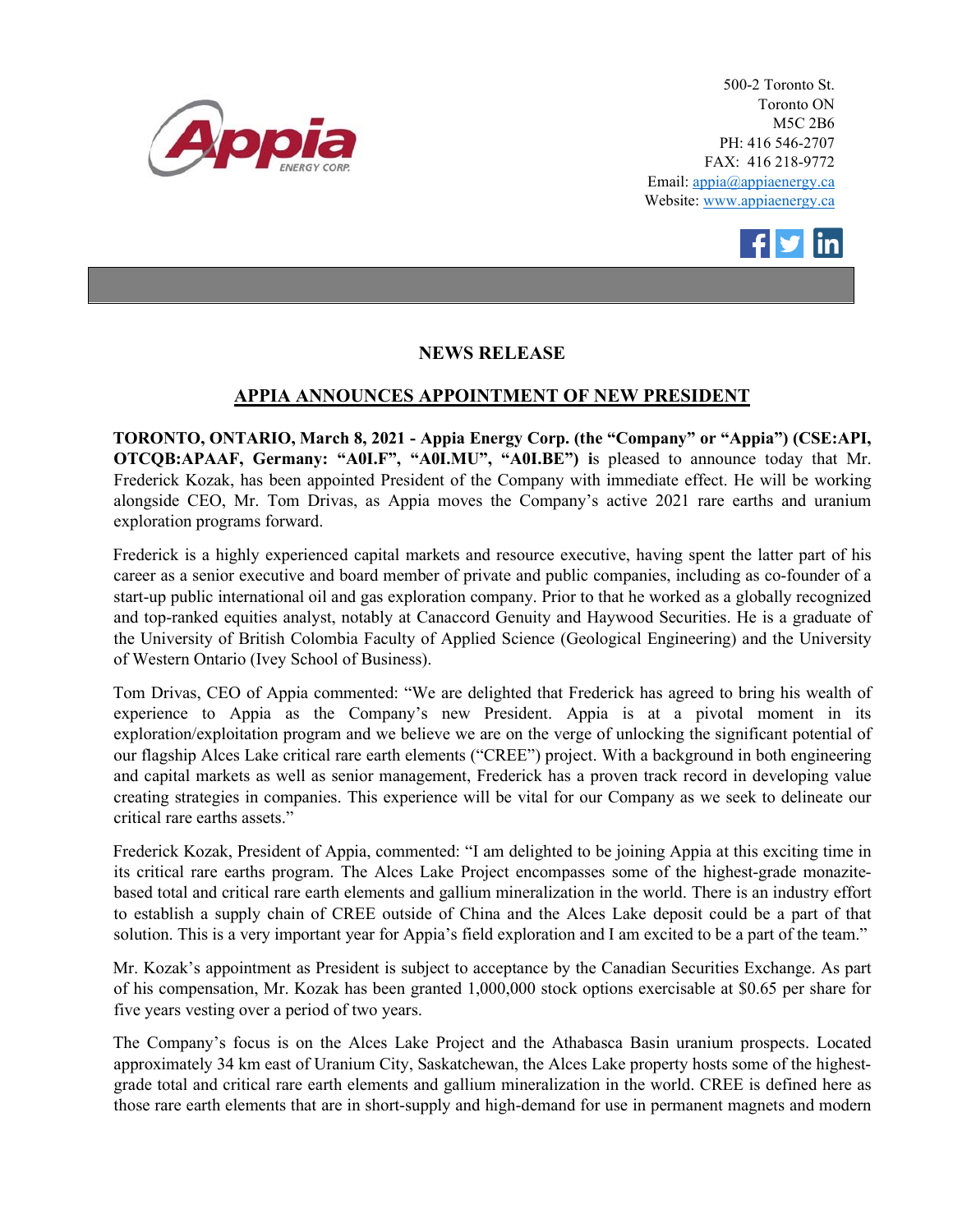

500-2 Toronto St. Toronto ON M5C 2B6 PH: 416 546-2707 FAX: 416 218-9772 Email: appia@appiaenergy.ca Website: www.appiaenergy.ca



# **NEWS RELEASE**

## **APPIA ANNOUNCES APPOINTMENT OF NEW PRESIDENT**

**TORONTO, ONTARIO, March 8, 2021 - Appia Energy Corp. (the "Company" or "Appia") (CSE:API, OTCQB:APAAF, Germany: "A0I.F", "A0I.MU", "A0I.BE") i**s pleased to announce today that Mr. Frederick Kozak, has been appointed President of the Company with immediate effect. He will be working alongside CEO, Mr. Tom Drivas, as Appia moves the Company's active 2021 rare earths and uranium exploration programs forward.

Frederick is a highly experienced capital markets and resource executive, having spent the latter part of his career as a senior executive and board member of private and public companies, including as co-founder of a start-up public international oil and gas exploration company. Prior to that he worked as a globally recognized and top-ranked equities analyst, notably at Canaccord Genuity and Haywood Securities. He is a graduate of the University of British Colombia Faculty of Applied Science (Geological Engineering) and the University of Western Ontario (Ivey School of Business).

Tom Drivas, CEO of Appia commented: "We are delighted that Frederick has agreed to bring his wealth of experience to Appia as the Company's new President. Appia is at a pivotal moment in its exploration/exploitation program and we believe we are on the verge of unlocking the significant potential of our flagship Alces Lake critical rare earth elements ("CREE") project. With a background in both engineering and capital markets as well as senior management, Frederick has a proven track record in developing value creating strategies in companies. This experience will be vital for our Company as we seek to delineate our critical rare earths assets."

Frederick Kozak, President of Appia, commented: "I am delighted to be joining Appia at this exciting time in its critical rare earths program. The Alces Lake Project encompasses some of the highest-grade monazitebased total and critical rare earth elements and gallium mineralization in the world. There is an industry effort to establish a supply chain of CREE outside of China and the Alces Lake deposit could be a part of that solution. This is a very important year for Appia's field exploration and I am excited to be a part of the team."

Mr. Kozak's appointment as President is subject to acceptance by the Canadian Securities Exchange. As part of his compensation, Mr. Kozak has been granted 1,000,000 stock options exercisable at \$0.65 per share for five years vesting over a period of two years.

The Company's focus is on the Alces Lake Project and the Athabasca Basin uranium prospects. Located approximately 34 km east of Uranium City, Saskatchewan, the Alces Lake property hosts some of the highestgrade total and critical rare earth elements and gallium mineralization in the world. CREE is defined here as those rare earth elements that are in short-supply and high-demand for use in permanent magnets and modern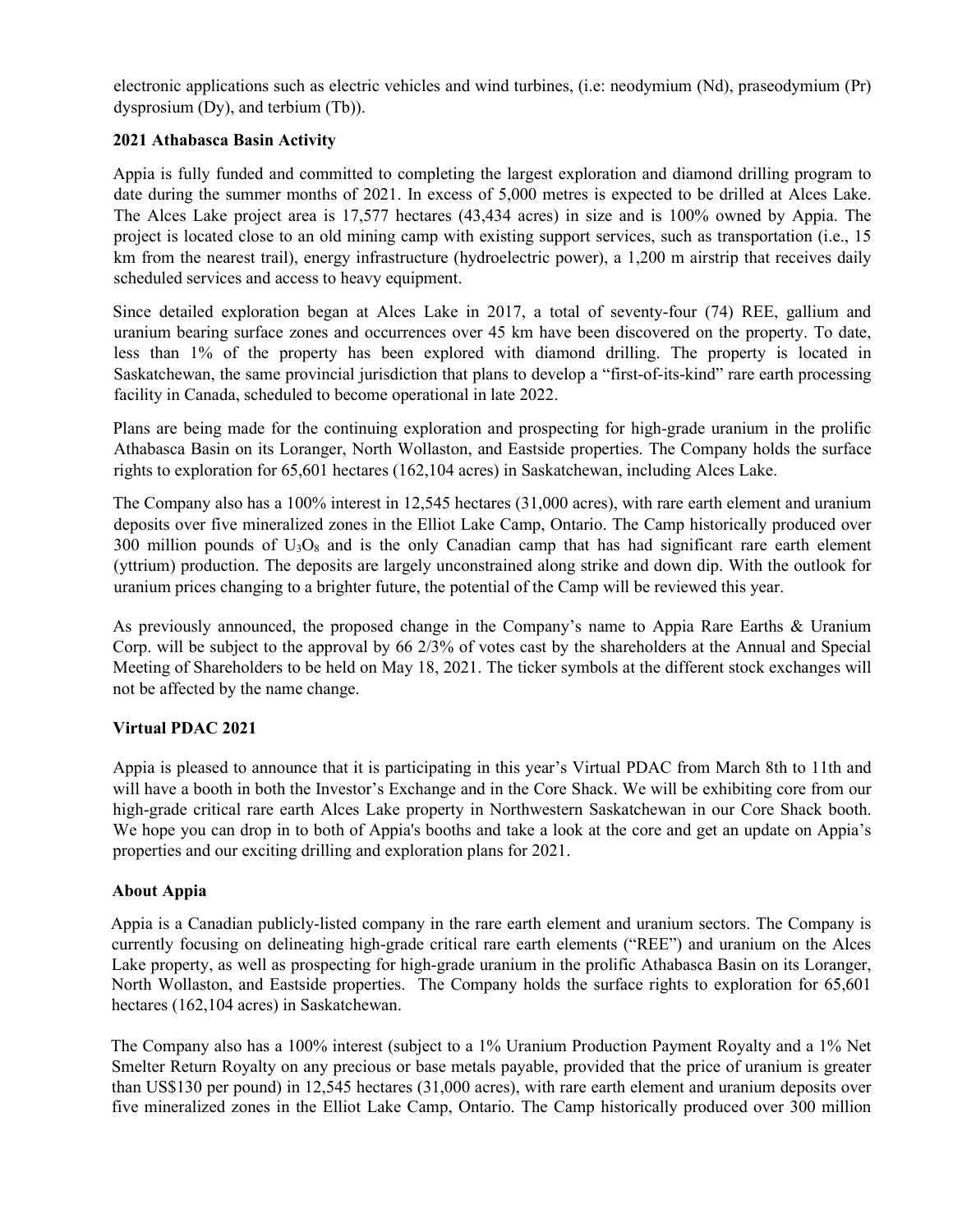electronic applications such as electric vehicles and wind turbines, (i.e: neodymium (Nd), praseodymium (Pr) dysprosium (Dy), and terbium (Tb)).

### **2021 Athabasca Basin Activity**

Appia is fully funded and committed to completing the largest exploration and diamond drilling program to date during the summer months of 2021. In excess of 5,000 metres is expected to be drilled at Alces Lake. The Alces Lake project area is 17,577 hectares (43,434 acres) in size and is 100% owned by Appia. The project is located close to an old mining camp with existing support services, such as transportation (i.e., 15 km from the nearest trail), energy infrastructure (hydroelectric power), a 1,200 m airstrip that receives daily scheduled services and access to heavy equipment.

Since detailed exploration began at Alces Lake in 2017, a total of seventy-four (74) REE, gallium and uranium bearing surface zones and occurrences over 45 km have been discovered on the property. To date, less than 1% of the property has been explored with diamond drilling. The property is located in Saskatchewan, the same provincial jurisdiction that plans to develop a "first-of-its-kind" rare earth processing facility in Canada, scheduled to become operational in late 2022.

Plans are being made for the continuing exploration and prospecting for high-grade uranium in the prolific Athabasca Basin on its Loranger, North Wollaston, and Eastside properties. The Company holds the surface rights to exploration for 65,601 hectares (162,104 acres) in Saskatchewan, including Alces Lake.

The Company also has a 100% interest in 12,545 hectares (31,000 acres), with rare earth element and uranium deposits over five mineralized zones in the Elliot Lake Camp, Ontario. The Camp historically produced over 300 million pounds of  $U_3O_8$  and is the only Canadian camp that has had significant rare earth element (yttrium) production. The deposits are largely unconstrained along strike and down dip. With the outlook for uranium prices changing to a brighter future, the potential of the Camp will be reviewed this year.

As previously announced, the proposed change in the Company's name to Appia Rare Earths & Uranium Corp. will be subject to the approval by 66 2/3% of votes cast by the shareholders at the Annual and Special Meeting of Shareholders to be held on May 18, 2021. The ticker symbols at the different stock exchanges will not be affected by the name change.

### **Virtual PDAC 2021**

Appia is pleased to announce that it is participating in this year's Virtual PDAC from March 8th to 11th and will have a booth in both the Investor's Exchange and in the Core Shack. We will be exhibiting core from our high-grade critical rare earth Alces Lake property in Northwestern Saskatchewan in our Core Shack booth. We hope you can drop in to both of Appia's booths and take a look at the core and get an update on Appia's properties and our exciting drilling and exploration plans for 2021.

### **About Appia**

Appia is a Canadian publicly-listed company in the rare earth element and uranium sectors. The Company is currently focusing on delineating high-grade critical rare earth elements ("REE") and uranium on the Alces Lake property, as well as prospecting for high-grade uranium in the prolific Athabasca Basin on its Loranger, North Wollaston, and Eastside properties. The Company holds the surface rights to exploration for 65,601 hectares (162,104 acres) in Saskatchewan.

The Company also has a 100% interest (subject to a 1% Uranium Production Payment Royalty and a 1% Net Smelter Return Royalty on any precious or base metals payable, provided that the price of uranium is greater than US\$130 per pound) in 12,545 hectares (31,000 acres), with rare earth element and uranium deposits over five mineralized zones in the Elliot Lake Camp, Ontario. The Camp historically produced over 300 million